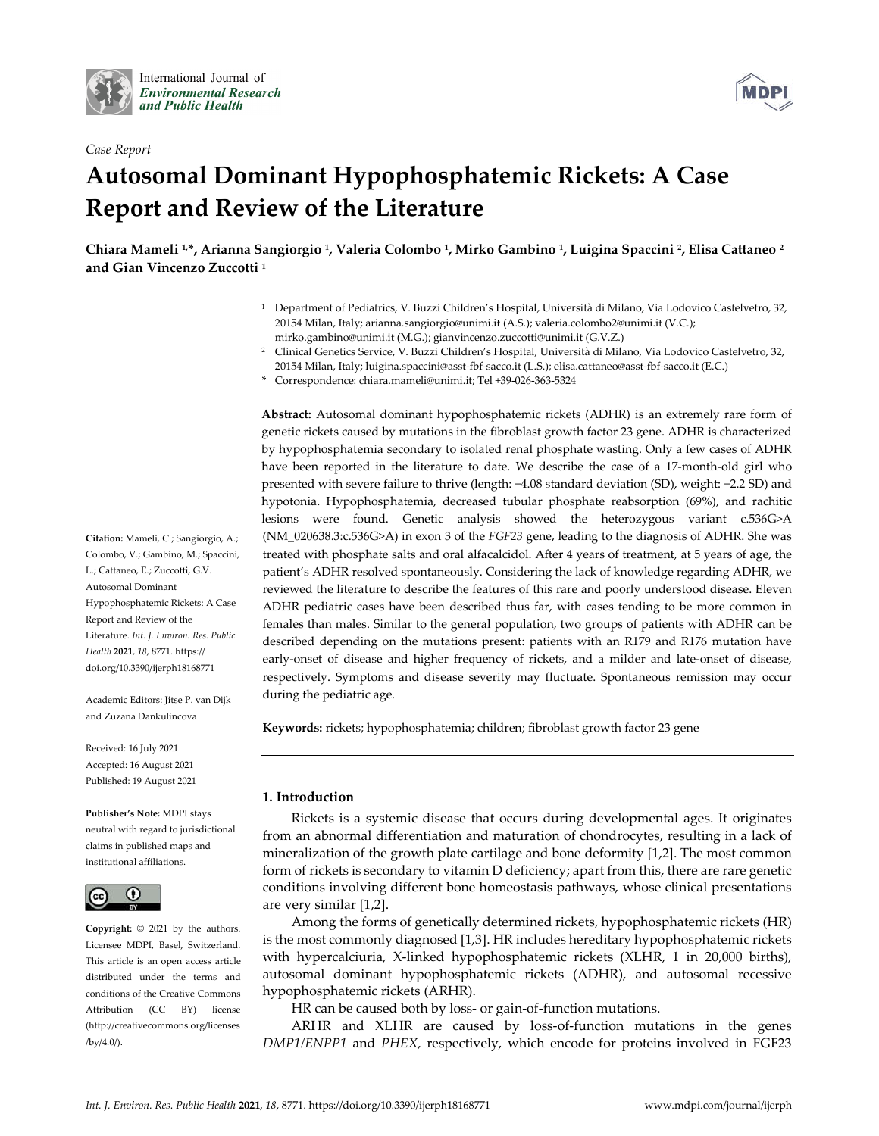



# **Autosomal Dominant Hypophosphatemic Rickets: A Case Report and Review of the Literature**

Chiara Mameli ½, Arianna Sangiorgio ½, Valeria Colombo ½, Mirko Gambino ½, Luigina Spaccini ², Elisa Cattaneo 2 **and Gian Vincenzo Zuccotti <sup>1</sup>**

- <sup>1</sup> Department of Pediatrics, V. Buzzi Children's Hospital, Università di Milano, Via Lodovico Castelvetro, 32, 20154 Milan, Italy; arianna.sangiorgio@unimi.it (A.S.); valeria.colombo2@unimi.it (V.C.); mirko.gambino@unimi.it (M.G.); gianvincenzo.zuccotti@unimi.it (G.V.Z.)
- <sup>2</sup> Clinical Genetics Service, V. Buzzi Children's Hospital, Università di Milano, Via Lodovico Castelvetro, 32, 20154 Milan, Italy; luigina.spaccini@asst-fbf-sacco.it (L.S.); elisa.cattaneo@asst-fbf-sacco.it (E.C.)
- **\*** Correspondence: chiara.mameli@unimi.it; Tel +39-026-363-5324

**Abstract:** Autosomal dominant hypophosphatemic rickets (ADHR) is an extremely rare form of genetic rickets caused by mutations in the fibroblast growth factor 23 gene. ADHR is characterized by hypophosphatemia secondary to isolated renal phosphate wasting. Only a few cases of ADHR have been reported in the literature to date. We describe the case of a 17-month-old girl who presented with severe failure to thrive (length: −4.08 standard deviation (SD), weight: −2.2 SD) and hypotonia. Hypophosphatemia, decreased tubular phosphate reabsorption (69%), and rachitic lesions were found. Genetic analysis showed the heterozygous variant c.536G>A (NM\_020638.3:c.536G>A) in exon 3 of the *FGF23* gene, leading to the diagnosis of ADHR. She was treated with phosphate salts and oral alfacalcidol. After 4 years of treatment, at 5 years of age, the patient's ADHR resolved spontaneously. Considering the lack of knowledge regarding ADHR, we reviewed the literature to describe the features of this rare and poorly understood disease. Eleven ADHR pediatric cases have been described thus far, with cases tending to be more common in females than males. Similar to the general population, two groups of patients with ADHR can be described depending on the mutations present: patients with an R179 and R176 mutation have early-onset of disease and higher frequency of rickets, and a milder and late-onset of disease, respectively. Symptoms and disease severity may fluctuate. Spontaneous remission may occur during the pediatric age.

**Keywords:** rickets; hypophosphatemia; children; fibroblast growth factor 23 gene

## **1. Introduction**

Rickets is a systemic disease that occurs during developmental ages. It originates from an abnormal differentiation and maturation of chondrocytes, resulting in a lack of mineralization of the growth plate cartilage and bone deformity [1,2]. The most common form of rickets is secondary to vitamin D deficiency; apart from this, there are rare genetic conditions involving different bone homeostasis pathways, whose clinical presentations are very similar [1,2].

Among the forms of genetically determined rickets, hypophosphatemic rickets (HR) is the most commonly diagnosed [1,3]. HR includes hereditary hypophosphatemic rickets with hypercalciuria, X-linked hypophosphatemic rickets (XLHR, 1 in 20,000 births), autosomal dominant hypophosphatemic rickets (ADHR), and autosomal recessive hypophosphatemic rickets (ARHR).

HR can be caused both by loss- or gain-of-function mutations.

ARHR and XLHR are caused by loss-of-function mutations in the genes *DMP1/ENPP1* and *PHEX,* respectively, which encode for proteins involved in FGF23

**Citation:** Mameli, C.; Sangiorgio, A.; Colombo, V.; Gambino, M.; Spaccini, L.; Cattaneo, E.; Zuccotti, G.V. Autosomal Dominant Hypophosphatemic Rickets: A Case Report and Review of the Literature. *Int. J. Environ. Res. Public Health* **2021**, *18*, 8771. https:// doi.org/10.3390/ijerph18168771

Academic Editors: Jitse P. van Dijk and Zuzana Dankulincova

Received: 16 July 2021 Accepted: 16 August 2021 Published: 19 August 2021

#### **Publisher's Note:** MDPI stays

neutral with regard to jurisdictional claims in published maps and institutional affiliations.



**Copyright:** © 2021 by the authors. Licensee MDPI, Basel, Switzerland. This article is an open access article distributed under the terms and conditions of the Creative Commons Attribution (CC BY) license (http://creativecommons.org/licenses /by/4.0/).

**MDP**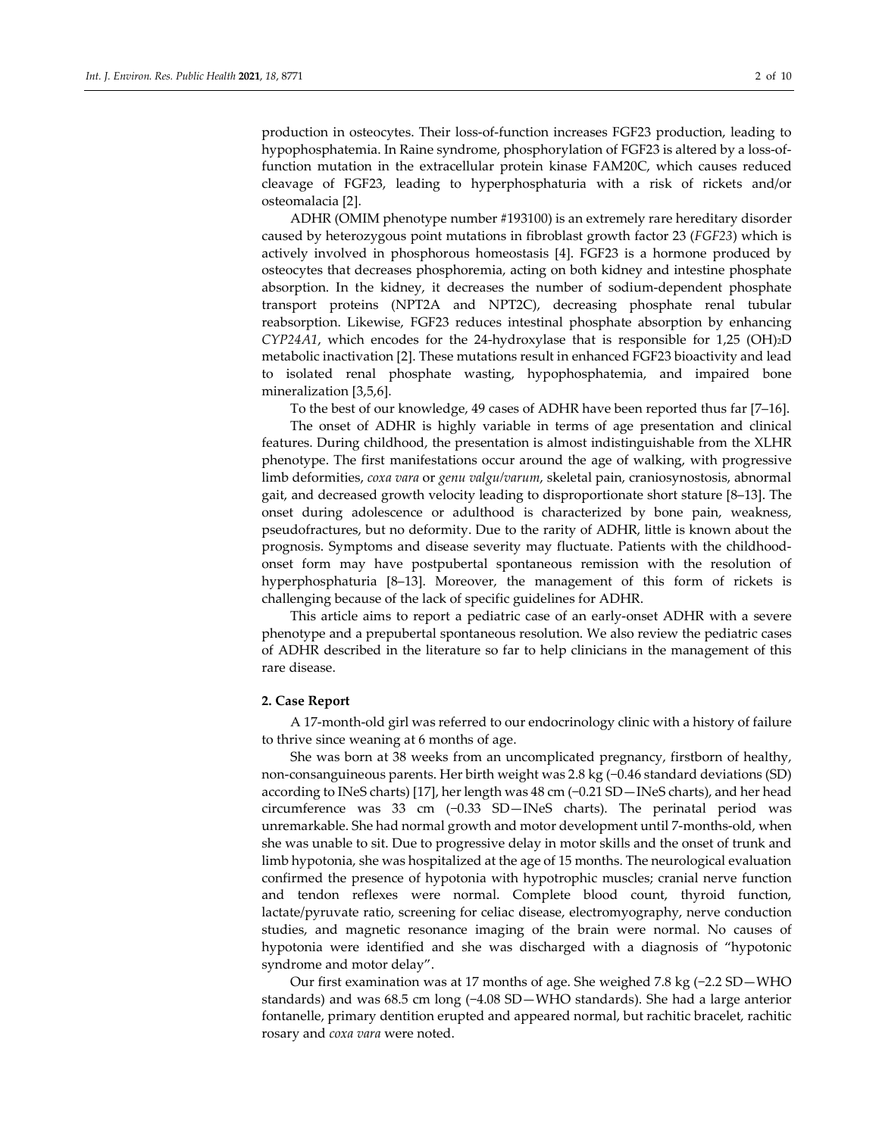production in osteocytes. Their loss-of-function increases FGF23 production, leading to hypophosphatemia. In Raine syndrome, phosphorylation of FGF23 is altered by a loss-offunction mutation in the extracellular protein kinase FAM20C, which causes reduced cleavage of FGF23, leading to hyperphosphaturia with a risk of rickets and/or osteomalacia [2].

ADHR (OMIM phenotype number #193100) is an extremely rare hereditary disorder caused by heterozygous point mutations in fibroblast growth factor 23 (*FGF23*) which is actively involved in phosphorous homeostasis [4]. FGF23 is a hormone produced by osteocytes that decreases phosphoremia, acting on both kidney and intestine phosphate absorption. In the kidney, it decreases the number of sodium-dependent phosphate transport proteins (NPT2A and NPT2C), decreasing phosphate renal tubular reabsorption. Likewise, FGF23 reduces intestinal phosphate absorption by enhancing *CYP24A1*, which encodes for the 24-hydroxylase that is responsible for 1,25 (OH)2D metabolic inactivation [2]. These mutations result in enhanced FGF23 bioactivity and lead to isolated renal phosphate wasting, hypophosphatemia, and impaired bone mineralization [3,5,6].

To the best of our knowledge, 49 cases of ADHR have been reported thus far [7–16].

The onset of ADHR is highly variable in terms of age presentation and clinical features. During childhood, the presentation is almost indistinguishable from the XLHR phenotype. The first manifestations occur around the age of walking, with progressive limb deformities, *coxa vara* or *genu valgu/varum*, skeletal pain, craniosynostosis, abnormal gait, and decreased growth velocity leading to disproportionate short stature [8–13]. The onset during adolescence or adulthood is characterized by bone pain, weakness, pseudofractures, but no deformity. Due to the rarity of ADHR, little is known about the prognosis. Symptoms and disease severity may fluctuate. Patients with the childhoodonset form may have postpubertal spontaneous remission with the resolution of hyperphosphaturia [8–13]. Moreover, the management of this form of rickets is challenging because of the lack of specific guidelines for ADHR.

This article aims to report a pediatric case of an early-onset ADHR with a severe phenotype and a prepubertal spontaneous resolution. We also review the pediatric cases of ADHR described in the literature so far to help clinicians in the management of this rare disease.

### **2. Case Report**

A 17-month-old girl was referred to our endocrinology clinic with a history of failure to thrive since weaning at 6 months of age.

She was born at 38 weeks from an uncomplicated pregnancy, firstborn of healthy, non-consanguineous parents. Her birth weight was 2.8 kg (−0.46 standard deviations (SD) according to INeS charts) [17], her length was 48 cm (−0.21 SD—INeS charts), and her head circumference was 33 cm (−0.33 SD—INeS charts). The perinatal period was unremarkable. She had normal growth and motor development until 7-months-old, when she was unable to sit. Due to progressive delay in motor skills and the onset of trunk and limb hypotonia, she was hospitalized at the age of 15 months. The neurological evaluation confirmed the presence of hypotonia with hypotrophic muscles; cranial nerve function and tendon reflexes were normal. Complete blood count, thyroid function, lactate/pyruvate ratio, screening for celiac disease, electromyography, nerve conduction studies, and magnetic resonance imaging of the brain were normal. No causes of hypotonia were identified and she was discharged with a diagnosis of "hypotonic syndrome and motor delay".

Our first examination was at 17 months of age. She weighed 7.8 kg (−2.2 SD—WHO standards) and was 68.5 cm long (−4.08 SD—WHO standards). She had a large anterior fontanelle, primary dentition erupted and appeared normal, but rachitic bracelet, rachitic rosary and *coxa vara* were noted.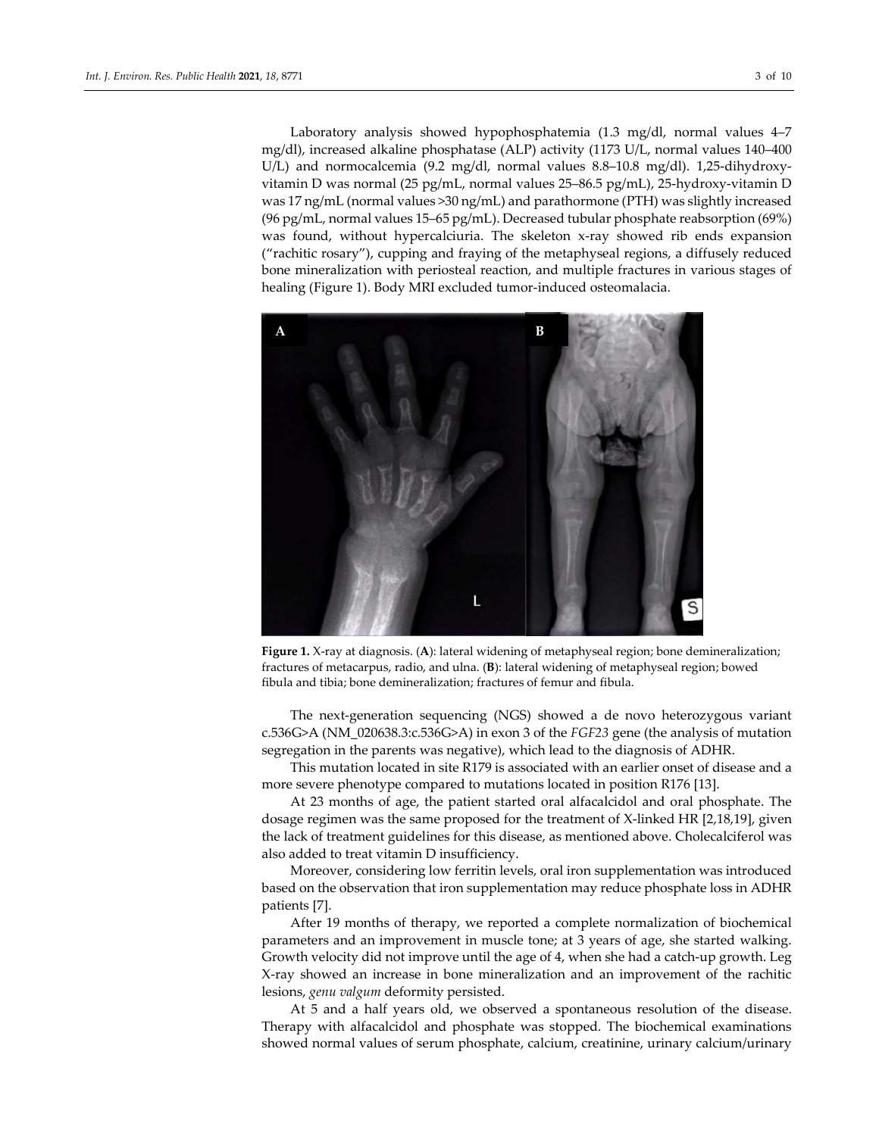Laboratory analysis showed hypophosphatemia (1.3 mg/dl, normal values 4–7 mg/dl), increased alkaline phosphatase (ALP) activity (1173 U/L, normal values 140–400 U/L) and normocalcemia (9.2 mg/dl, normal values 8.8–10.8 mg/dl). 1,25-dihydroxyvitamin D was normal (25 pg/mL, normal values 25–86.5 pg/mL), 25-hydroxy-vitamin D was 17 ng/mL (normal values >30 ng/mL) and parathormone (PTH) was slightly increased (96 pg/mL, normal values 15–65 pg/mL). Decreased tubular phosphate reabsorption (69%) was found, without hypercalciuria. The skeleton x-ray showed rib ends expansion ("rachitic rosary"), cupping and fraying of the metaphyseal regions, a diffusely reduced bone mineralization with periosteal reaction, and multiple fractures in various stages of healing (Figure 1). Body MRI excluded tumor-induced osteomalacia.



**Figure 1.** X-ray at diagnosis. (**A**): lateral widening of metaphyseal region; bone demineralization; fractures of metacarpus, radio, and ulna. (**B**): lateral widening of metaphyseal region; bowed fibula and tibia; bone demineralization; fractures of femur and fibula.

The next-generation sequencing (NGS) showed a de novo heterozygous variant c.536G>A (NM\_020638.3:c.536G>A) in exon 3 of the *FGF23* gene (the analysis of mutation segregation in the parents was negative), which lead to the diagnosis of ADHR.

This mutation located in site R179 is associated with an earlier onset of disease and a more severe phenotype compared to mutations located in position R176 [13].

At 23 months of age, the patient started oral alfacalcidol and oral phosphate. The dosage regimen was the same proposed for the treatment of X-linked HR [2,18,19], given the lack of treatment guidelines for this disease, as mentioned above. Cholecalciferol was also added to treat vitamin D insufficiency.

Moreover, considering low ferritin levels, oral iron supplementation was introduced based on the observation that iron supplementation may reduce phosphate loss in ADHR patients [7].

After 19 months of therapy, we reported a complete normalization of biochemical parameters and an improvement in muscle tone; at 3 years of age, she started walking. Growth velocity did not improve until the age of 4, when she had a catch-up growth. Leg X-ray showed an increase in bone mineralization and an improvement of the rachitic lesions, *genu valgum* deformity persisted.

At 5 and a half years old, we observed a spontaneous resolution of the disease. Therapy with alfacalcidol and phosphate was stopped. The biochemical examinations showed normal values of serum phosphate, calcium, creatinine, urinary calcium/urinary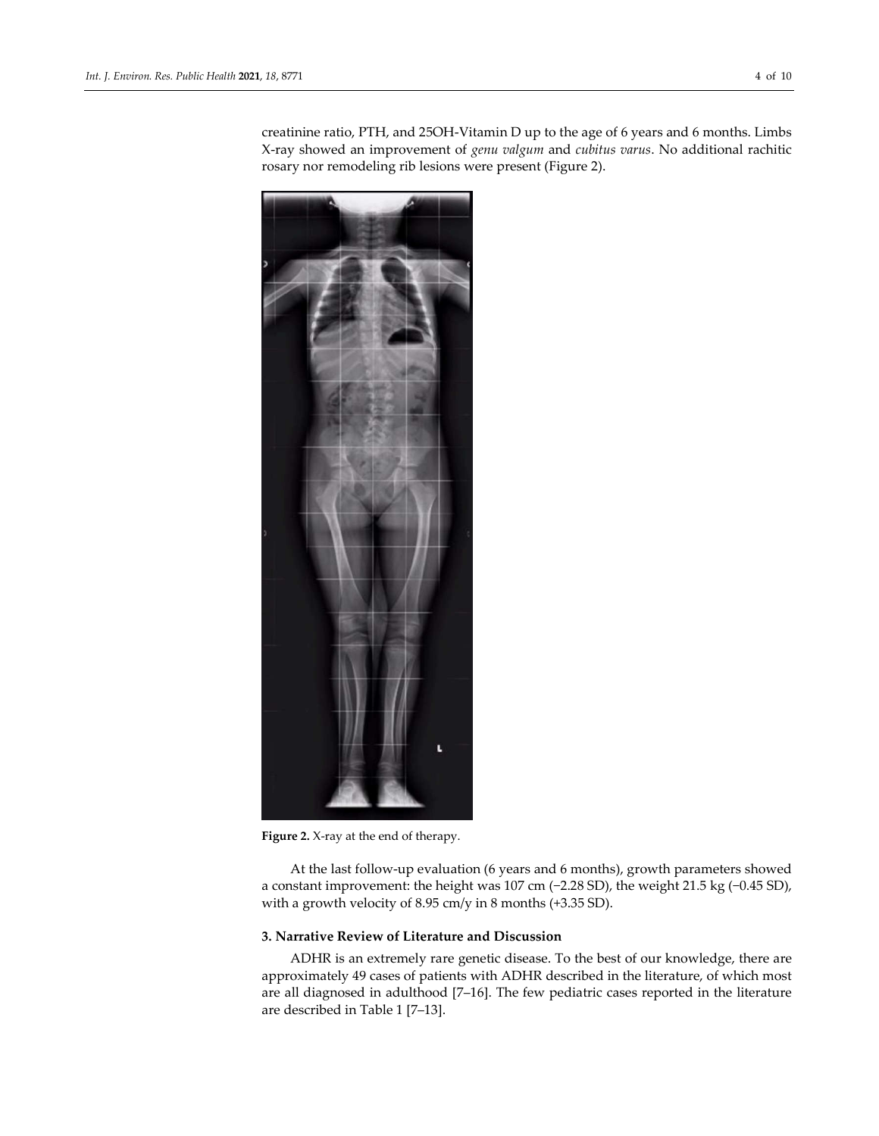creatinine ratio, PTH, and 25OH-Vitamin D up to the age of 6 years and 6 months. Limbs X-ray showed an improvement of *genu valgum* and *cubitus varus*. No additional rachitic rosary nor remodeling rib lesions were present (Figure 2).



**Figure 2.** X-ray at the end of therapy.

At the last follow-up evaluation (6 years and 6 months), growth parameters showed a constant improvement: the height was 107 cm (−2.28 SD), the weight 21.5 kg (−0.45 SD), with a growth velocity of 8.95 cm/y in 8 months (+3.35 SD).

## **3. Narrative Review of Literature and Discussion**

ADHR is an extremely rare genetic disease. To the best of our knowledge, there are approximately 49 cases of patients with ADHR described in the literature, of which most are all diagnosed in adulthood [7–16]. The few pediatric cases reported in the literature are described in Table 1 [7–13].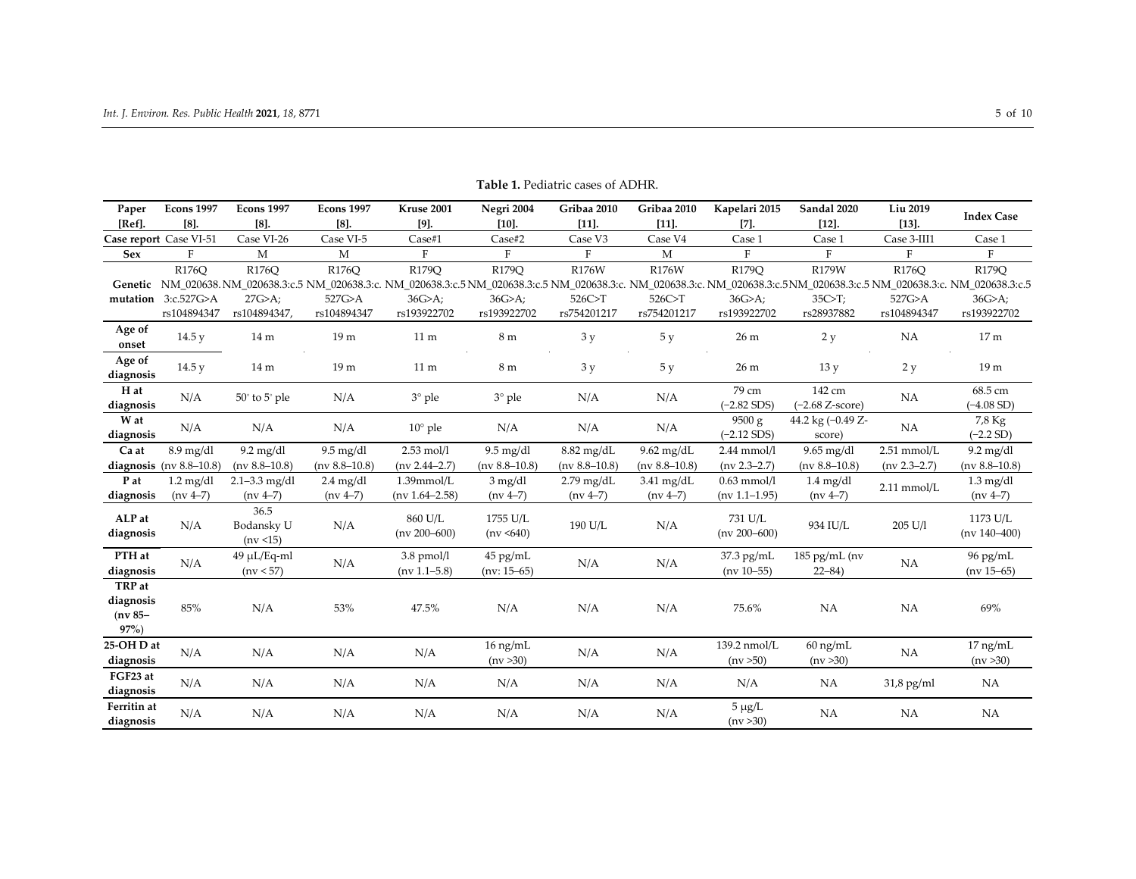| Paper                                        | <b>Econs 1997</b>                  | <b>Econs 1997</b>               | <b>Econs 1997</b>                 | Kruse 2001                          | Negri 2004                      | Gribaa 2010                | Gribaa 2010                | Kapelari 2015                      | Sandal 2020                                                                                                                                                                                                                             | Liu 2019              | <b>Index Case</b>                 |
|----------------------------------------------|------------------------------------|---------------------------------|-----------------------------------|-------------------------------------|---------------------------------|----------------------------|----------------------------|------------------------------------|-----------------------------------------------------------------------------------------------------------------------------------------------------------------------------------------------------------------------------------------|-----------------------|-----------------------------------|
| [Ref].                                       | $[8]$ .                            | $[8]$ .                         | $[8]$ .                           | $[9]$ .                             | $[10]$ .                        | $[11]$ .                   | $[11]$                     | $[7]$ .                            | $[12]$                                                                                                                                                                                                                                  | $[13]$ .              |                                   |
|                                              | Case report Case VI-51             | Case VI-26                      | Case VI-5                         | Case#1                              | Case#2                          | Case V3                    | Case V4                    | Case 1                             | Case 1                                                                                                                                                                                                                                  | Case 3-III1           | Case 1                            |
| <b>Sex</b>                                   | $\mathbf F$                        | M                               | M                                 | $\mathbf{F}$                        | F                               | F                          | M                          | $\rm F$                            | $\mathbf{F}$                                                                                                                                                                                                                            | $\rm F$               | F                                 |
| Genetic                                      | R176Q                              | R176Q                           | R176Q                             | R179Q                               | R179Q                           | R176W                      | R176W                      | R179Q                              | R179W<br>NM 020638.NM 020638.3:c.5 NM 020638.3:c.5 NM 020638.3:c.5 NM 020638.3:c.5 NM 020638.3:c.5 NM 020638.3:c.5 NM 020638.3:c.5 NM 020638.3:c.5 NM 020638.3:c.5 NM 020638.3:c.5 NM 020638.3:c.5 NM 020638.3:c.5 NM 020638.3:c.5 NM 0 | R176Q                 | R179Q                             |
|                                              | mutation 3:c.527G>A<br>rs104894347 | 27G>A<br>rs104894347,           | 527G>A<br>rs104894347             | 36G>A;<br>rs193922702               | 36G>A;<br>rs193922702           | 526C > T<br>rs754201217    | 526C>T<br>rs754201217      | 36G>A;<br>rs193922702              | $35C-T$ ;<br>rs28937882                                                                                                                                                                                                                 | 527G>A<br>rs104894347 | 36G>A;<br>rs193922702             |
| Age of<br>onset                              | 14.5 y                             | 14 <sub>m</sub>                 | 19 m                              | 11 <sub>m</sub>                     | 8m                              | 3y                         | 5 y                        | 26 m                               | 2y                                                                                                                                                                                                                                      | NA                    | 17 <sub>m</sub>                   |
| Age of<br>diagnosis                          | 14.5y                              | 14 m                            | 19 <sub>m</sub>                   | 11 <sub>m</sub>                     | 8 m                             | 3y                         | 5 y                        | 26 m                               | 13y                                                                                                                                                                                                                                     | 2y                    | 19 <sub>m</sub>                   |
| H at<br>diagnosis                            | N/A                                | $50^\circ$ to $5^\circ$ ple     | N/A                               | $3^\circ$ ple                       | $3°$ ple                        | N/A                        | N/A                        | 79 cm<br>$(-2.82$ SDS)             | 142 cm<br>$(-2.68 Z-score)$                                                                                                                                                                                                             | NA                    | 68.5 cm<br>$(-4.08 S D)$          |
| W at<br>diagnosis                            | N/A                                | N/A                             | N/A                               | $10^{\circ}$ ple                    | N/A                             | N/A                        | N/A                        | 9500 g<br>$(-2.12$ SDS)            | 44.2 kg (-0.49 Z-<br>score)                                                                                                                                                                                                             | NA                    | 7,8 Kg<br>$(-2.2 S D)$            |
| Ca at                                        | $8.9$ mg/dl                        | $9.2 \text{ mg/dl}$             | $9.5 \text{ mg/dl}$               | $2.53$ mol/l                        | $9.5 \text{ mg/dl}$             | 8.82 mg/dL                 | $9.62$ mg/dL               | $2.44$ mmol/l                      | 9.65 mg/dl                                                                                                                                                                                                                              | $2.51$ mmol/L         | $9.2$ mg/dl                       |
|                                              | diagnosis ( $nv 8.8-10.8$ )        | $(nv 8.8 - 10.8)$               | $(nv 8.8 - 10.8)$                 | $(nv 2.44 - 2.7)$                   | (nv $8.8 - 10.8$ )              | $(nv 8.8 - 10.8)$          | $(nv 8.8 - 10.8)$          | $(nv 2.3 - 2.7)$                   | $(nv 8.8 - 10.8)$                                                                                                                                                                                                                       | $(nv 2.3 - 2.7)$      | $(nv 8.8 - 10.8)$                 |
| P at<br>diagnosis                            | $1.2 \text{ mg/dl}$<br>$(nv 4-7)$  | $2.1 - 3.3$ mg/dl<br>$(nv 4-7)$ | $2.4 \text{ mg/dl}$<br>$(nv 4-7)$ | $1.39$ mmol/L<br>$(nv 1.64 - 2.58)$ | $3 \text{ mg/dl}$<br>$(nv 4-7)$ | $2.79$ mg/dL<br>$(nv 4-7)$ | $3.41$ mg/dL<br>$(nv 4-7)$ | $0.63$ mmol/l<br>$(nv 1.1 - 1.95)$ | $1.4 \text{ mg/dl}$<br>$(nv 4-7)$                                                                                                                                                                                                       | $2.11$ mmol/L         | $1.3 \text{ mg/dl}$<br>$(nv 4-7)$ |
| ALP at<br>diagnosis                          | N/A                                | 36.5<br>Bodansky U<br>(nv < 15) | N/A                               | 860 U/L<br>$(nv 200 - 600)$         | 1755 U/L<br>(nv < 640)          | $190\:\rm{U/L}$            | N/A                        | 731 U/L<br>$(nv 200 - 600)$        | 934 IU/L                                                                                                                                                                                                                                | 205 U/l               | 1173 U/L<br>$(nv 140 - 400)$      |
| PTH at<br>diagnosis                          | N/A                                | 49 µL/Eq-ml<br>(nv < 57)        | N/A                               | $3.8$ pmol/l<br>$(nv 1.1 - 5.8)$    | 45 pg/mL<br>$(nv: 15-65)$       | N/A                        | N/A                        | 37.3 pg/mL<br>$(nv 10-55)$         | $185$ pg/mL (nv<br>$22 - 84$                                                                                                                                                                                                            | NA                    | 96 pg/mL<br>$(nv 15-65)$          |
| TRP at<br>diagnosis<br>$(nv 85 -$<br>$97\%)$ | 85%                                | N/A                             | 53%                               | 47.5%                               | N/A                             | N/A                        | N/A                        | 75.6%                              | NA                                                                                                                                                                                                                                      | <b>NA</b>             | 69%                               |
| 25-OHD at<br>diagnosis                       | N/A                                | N/A                             | N/A                               | N/A                                 | 16 ng/mL<br>(nv > 30)           | N/A                        | N/A                        | 139.2 nmol/L<br>(nv > 50)          | $60$ ng/mL<br>(nv > 30)                                                                                                                                                                                                                 | <b>NA</b>             | 17 ng/mL<br>(nv > 30)             |
| FGF23 at<br>diagnosis                        | N/A                                | N/A                             | N/A                               | N/A                                 | N/A                             | N/A                        | N/A                        | N/A                                | <b>NA</b>                                                                                                                                                                                                                               | $31,8$ pg/ml          | <b>NA</b>                         |
| Ferritin at<br>diagnosis                     | N/A                                | N/A                             | N/A                               | N/A                                 | N/A                             | N/A                        | N/A                        | $5 \mu g/L$<br>(nv > 30)           | <b>NA</b>                                                                                                                                                                                                                               | NA                    | NA                                |

## **Table 1.** Pediatric cases of ADHR.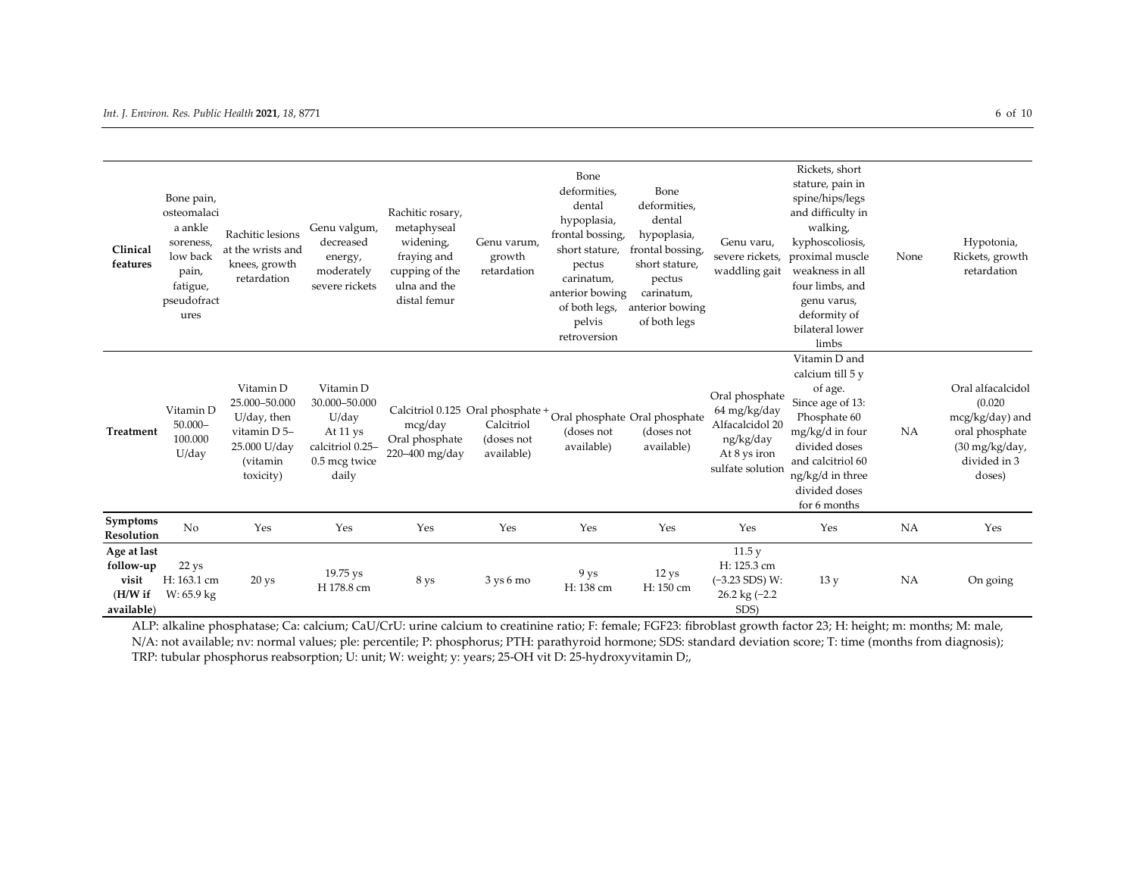| Clinical<br>features                                          | Bone pain,<br>osteomalaci<br>a ankle<br>soreness,<br>low back<br>pain,<br>fatigue,<br>pseudofract<br>ures | Rachitic lesions<br>at the wrists and<br>knees, growth<br>retardation                              | Genu valgum,<br>decreased<br>energy,<br>moderately<br>severe rickets                          | Rachitic rosary,<br>metaphyseal<br>widening,<br>fraying and<br>cupping of the<br>ulna and the<br>distal femur  | Genu varum,<br>growth<br>retardation   | Bone<br>deformities,<br>dental<br>hypoplasia,<br>frontal bossing,<br>short stature,<br>pectus<br>carinatum,<br>anterior bowing<br>of both legs,<br>pelvis<br>retroversion | Bone<br>deformities,<br>dental<br>hypoplasia,<br>frontal bossing,<br>short stature,<br>pectus<br>carinatum,<br>anterior bowing<br>of both legs | Genu varu,<br>severe rickets,<br>waddling gait                                                     | Rickets, short<br>stature, pain in<br>spine/hips/legs<br>and difficulty in<br>walking,<br>kyphoscoliosis,<br>proximal muscle<br>weakness in all<br>four limbs, and<br>genu varus,<br>deformity of<br>bilateral lower<br>limbs | None | Hypotonia,<br>Rickets, growth<br>retardation                                                                            |
|---------------------------------------------------------------|-----------------------------------------------------------------------------------------------------------|----------------------------------------------------------------------------------------------------|-----------------------------------------------------------------------------------------------|----------------------------------------------------------------------------------------------------------------|----------------------------------------|---------------------------------------------------------------------------------------------------------------------------------------------------------------------------|------------------------------------------------------------------------------------------------------------------------------------------------|----------------------------------------------------------------------------------------------------|-------------------------------------------------------------------------------------------------------------------------------------------------------------------------------------------------------------------------------|------|-------------------------------------------------------------------------------------------------------------------------|
| <b>Treatment</b>                                              | Vitamin D<br>$50.000 -$<br>100.000<br>U/day                                                               | Vitamin D<br>25.000-50.000<br>U/day, then<br>vitamin D 5-<br>25.000 U/day<br>(vitamin<br>toxicity) | Vitamin D<br>30.000-50.000<br>U/day<br>At 11 ys<br>calcitriol 0.25-<br>0.5 mcg twice<br>daily | Calcitriol 0.125 Oral phosphate + Oral phosphate Oral phosphate<br>mcg/day<br>Oral phosphate<br>220-400 mg/day | Calcitriol<br>(doses not<br>available) | (doses not<br>available)                                                                                                                                                  | (doses not<br>available)                                                                                                                       | Oral phosphate<br>64 mg/kg/day<br>Alfacalcidol 20<br>ng/kg/day<br>At 8 ys iron<br>sulfate solution | Vitamin D and<br>calcium till 5 y<br>of age.<br>Since age of 13:<br>Phosphate 60<br>mg/kg/d in four<br>divided doses<br>and calcitriol 60<br>ng/kg/d in three<br>divided doses<br>for 6 months                                | NA   | Oral alfacalcidol<br>(0.020)<br>mcg/kg/day) and<br>oral phosphate<br>$(30 \text{ mg/kg/day})$<br>divided in 3<br>doses) |
| Symptoms<br>Resolution                                        | No                                                                                                        | Yes                                                                                                | Yes                                                                                           | Yes                                                                                                            | Yes                                    | Yes                                                                                                                                                                       | Yes                                                                                                                                            | Yes                                                                                                | Yes                                                                                                                                                                                                                           | NA   | Yes                                                                                                                     |
| Age at last<br>follow-up<br>visit<br>$(H/W)$ if<br>available) | $22$ ys<br>H: 163.1 cm<br>W: 65.9 kg                                                                      | 20 <sub>ys</sub>                                                                                   | 19.75 ys<br>H 178.8 cm                                                                        | 8 ys                                                                                                           | $3 \text{ ys} 6 \text{ mo}$            | 9 ys<br>H: 138 cm                                                                                                                                                         | 12 <sub>ys</sub><br>H: 150 cm                                                                                                                  | 11.5y<br>H: 125.3 cm<br>$(-3.23$ SDS) W:<br>26.2 kg $(-2.2)$<br>SDS)                               | 13y                                                                                                                                                                                                                           | NA   | On going                                                                                                                |

ALP: alkaline phosphatase; Ca: calcium; CaU/CrU: urine calcium to creatinine ratio; F: female; FGF23: fibroblast growth factor 23; H: height; m: months; M: male, N/A: not available; nv: normal values; ple: percentile; P: phosphorus; PTH: parathyroid hormone; SDS: standard deviation score; T: time (months from diagnosis); TRP: tubular phosphorus reabsorption; U: unit; W: weight; y: years; 25-OH vit D: 25-hydroxyvitamin D;,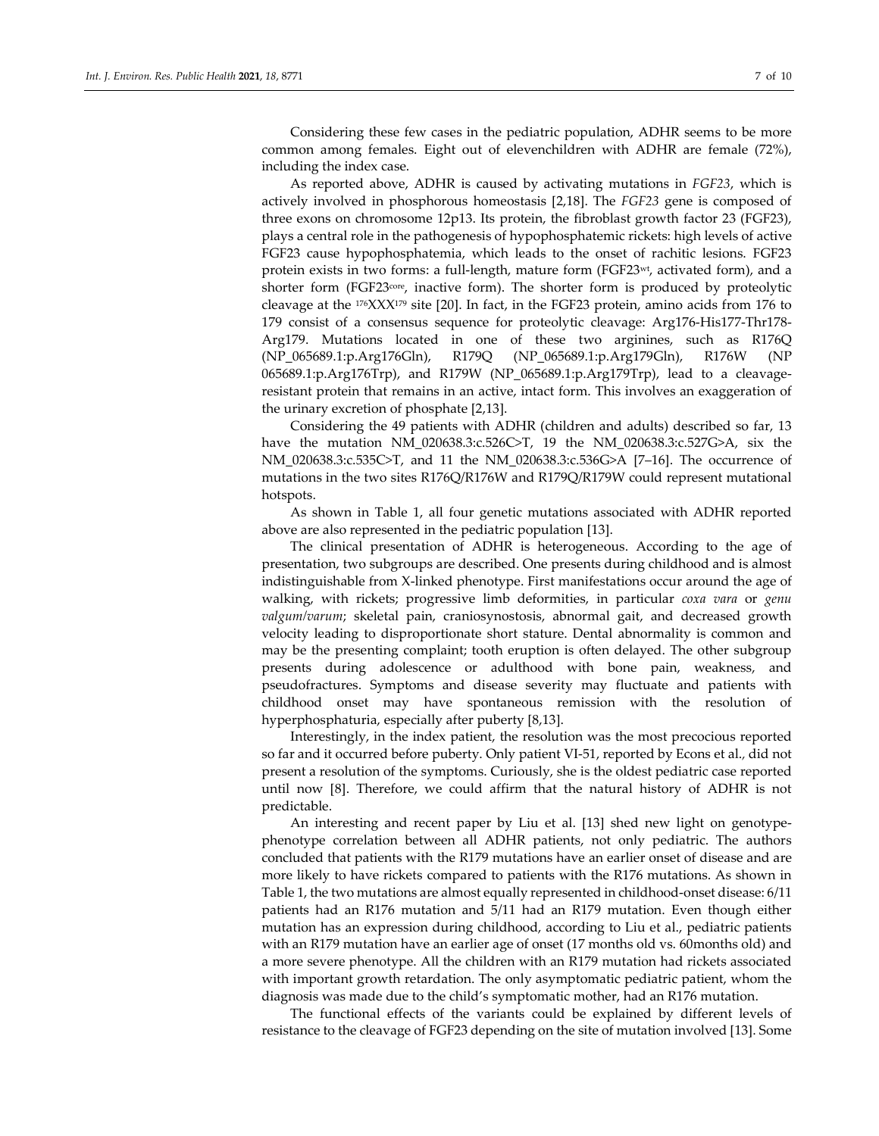Considering these few cases in the pediatric population, ADHR seems to be more common among females. Eight out of elevenchildren with ADHR are female (72%), including the index case.

As reported above, ADHR is caused by activating mutations in *FGF23*, which is actively involved in phosphorous homeostasis [2,18]. The *FGF23* gene is composed of three exons on chromosome 12p13. Its protein, the fibroblast growth factor 23 (FGF23), plays a central role in the pathogenesis of hypophosphatemic rickets: high levels of active FGF23 cause hypophosphatemia, which leads to the onset of rachitic lesions. FGF23 protein exists in two forms: a full-length, mature form (FGF23wt, activated form), and a shorter form (FGF23<sup>core</sup>, inactive form). The shorter form is produced by proteolytic cleavage at the  $176$ XXX $179$  site [20]. In fact, in the FGF23 protein, amino acids from 176 to 179 consist of a consensus sequence for proteolytic cleavage: Arg176-His177-Thr178- Arg179. Mutations located in one of these two arginines, such as R176Q (NP\_065689.1:p.Arg176Gln), R179Q (NP\_065689.1:p.Arg179Gln), R176W (NP 065689.1:p.Arg176Trp), and R179W (NP\_065689.1:p.Arg179Trp), lead to a cleavageresistant protein that remains in an active, intact form. This involves an exaggeration of the urinary excretion of phosphate [2,13].

Considering the 49 patients with ADHR (children and adults) described so far, 13 have the mutation NM\_020638.3:c.526C>T, 19 the NM\_020638.3:c.527G>A, six the NM\_020638.3:c.535C>T, and 11 the NM\_020638.3:c.536G>A [7–16]. The occurrence of mutations in the two sites R176Q/R176W and R179Q/R179W could represent mutational hotspots.

As shown in Table 1, all four genetic mutations associated with ADHR reported above are also represented in the pediatric population [13].

The clinical presentation of ADHR is heterogeneous. According to the age of presentation, two subgroups are described. One presents during childhood and is almost indistinguishable from X-linked phenotype. First manifestations occur around the age of walking, with rickets; progressive limb deformities, in particular *coxa vara* or *genu valgum/varum*; skeletal pain, craniosynostosis, abnormal gait, and decreased growth velocity leading to disproportionate short stature. Dental abnormality is common and may be the presenting complaint; tooth eruption is often delayed. The other subgroup presents during adolescence or adulthood with bone pain, weakness, and pseudofractures. Symptoms and disease severity may fluctuate and patients with childhood onset may have spontaneous remission with the resolution of hyperphosphaturia, especially after puberty [8,13].

Interestingly, in the index patient, the resolution was the most precocious reported so far and it occurred before puberty. Only patient VI-51, reported by Econs et al.*,* did not present a resolution of the symptoms. Curiously, she is the oldest pediatric case reported until now [8]. Therefore, we could affirm that the natural history of ADHR is not predictable.

An interesting and recent paper by Liu et al. [13] shed new light on genotypephenotype correlation between all ADHR patients, not only pediatric. The authors concluded that patients with the R179 mutations have an earlier onset of disease and are more likely to have rickets compared to patients with the R176 mutations. As shown in Table 1, the two mutations are almost equally represented in childhood-onset disease: 6/11 patients had an R176 mutation and 5/11 had an R179 mutation. Even though either mutation has an expression during childhood, according to Liu et al., pediatric patients with an R179 mutation have an earlier age of onset (17 months old vs. 60months old) and a more severe phenotype. All the children with an R179 mutation had rickets associated with important growth retardation. The only asymptomatic pediatric patient, whom the diagnosis was made due to the child's symptomatic mother, had an R176 mutation.

The functional effects of the variants could be explained by different levels of resistance to the cleavage of FGF23 depending on the site of mutation involved [13]. Some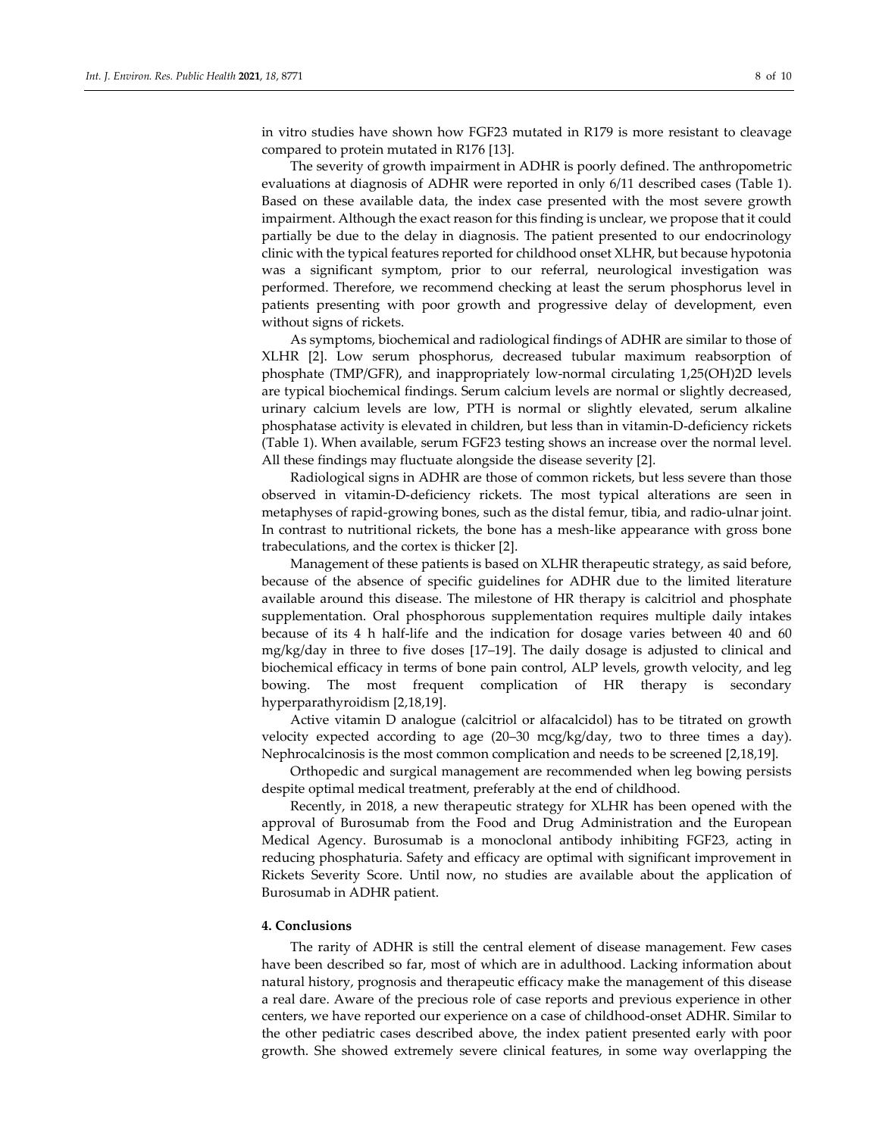in vitro studies have shown how FGF23 mutated in R179 is more resistant to cleavage compared to protein mutated in R176 [13].

The severity of growth impairment in ADHR is poorly defined. The anthropometric evaluations at diagnosis of ADHR were reported in only 6/11 described cases (Table 1). Based on these available data, the index case presented with the most severe growth impairment. Although the exact reason for this finding is unclear, we propose that it could partially be due to the delay in diagnosis. The patient presented to our endocrinology clinic with the typical features reported for childhood onset XLHR, but because hypotonia was a significant symptom, prior to our referral, neurological investigation was performed. Therefore, we recommend checking at least the serum phosphorus level in patients presenting with poor growth and progressive delay of development, even without signs of rickets.

As symptoms, biochemical and radiological findings of ADHR are similar to those of XLHR [2]. Low serum phosphorus, decreased tubular maximum reabsorption of phosphate (TMP/GFR), and inappropriately low-normal circulating 1,25(OH)2D levels are typical biochemical findings. Serum calcium levels are normal or slightly decreased, urinary calcium levels are low, PTH is normal or slightly elevated, serum alkaline phosphatase activity is elevated in children, but less than in vitamin-D-deficiency rickets (Table 1). When available, serum FGF23 testing shows an increase over the normal level. All these findings may fluctuate alongside the disease severity [2].

Radiological signs in ADHR are those of common rickets, but less severe than those observed in vitamin-D-deficiency rickets. The most typical alterations are seen in metaphyses of rapid-growing bones, such as the distal femur, tibia, and radio-ulnar joint. In contrast to nutritional rickets, the bone has a mesh-like appearance with gross bone trabeculations, and the cortex is thicker [2].

Management of these patients is based on XLHR therapeutic strategy, as said before, because of the absence of specific guidelines for ADHR due to the limited literature available around this disease. The milestone of HR therapy is calcitriol and phosphate supplementation. Oral phosphorous supplementation requires multiple daily intakes because of its 4 h half-life and the indication for dosage varies between 40 and 60 mg/kg/day in three to five doses [17–19]. The daily dosage is adjusted to clinical and biochemical efficacy in terms of bone pain control, ALP levels, growth velocity, and leg bowing. The most frequent complication of HR therapy is secondary hyperparathyroidism [2,18,19].

Active vitamin D analogue (calcitriol or alfacalcidol) has to be titrated on growth velocity expected according to age (20–30 mcg/kg/day, two to three times a day). Nephrocalcinosis is the most common complication and needs to be screened [2,18,19].

Orthopedic and surgical management are recommended when leg bowing persists despite optimal medical treatment, preferably at the end of childhood.

Recently, in 2018, a new therapeutic strategy for XLHR has been opened with the approval of Burosumab from the Food and Drug Administration and the European Medical Agency. Burosumab is a monoclonal antibody inhibiting FGF23, acting in reducing phosphaturia. Safety and efficacy are optimal with significant improvement in Rickets Severity Score. Until now, no studies are available about the application of Burosumab in ADHR patient.

#### **4. Conclusions**

The rarity of ADHR is still the central element of disease management. Few cases have been described so far, most of which are in adulthood. Lacking information about natural history, prognosis and therapeutic efficacy make the management of this disease a real dare. Aware of the precious role of case reports and previous experience in other centers, we have reported our experience on a case of childhood-onset ADHR. Similar to the other pediatric cases described above, the index patient presented early with poor growth. She showed extremely severe clinical features, in some way overlapping the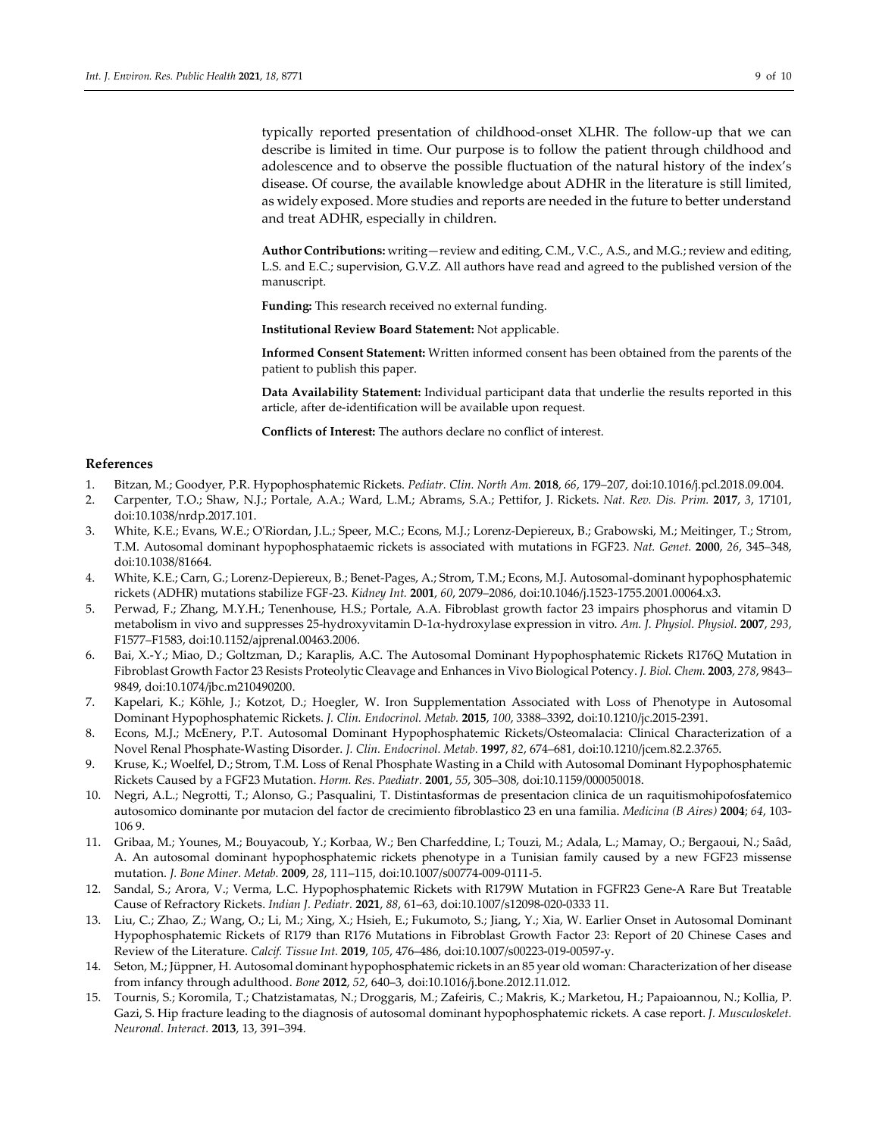typically reported presentation of childhood-onset XLHR. The follow-up that we can describe is limited in time. Our purpose is to follow the patient through childhood and adolescence and to observe the possible fluctuation of the natural history of the index's disease. Of course, the available knowledge about ADHR in the literature is still limited, as widely exposed. More studies and reports are needed in the future to better understand and treat ADHR, especially in children.

**Author Contributions:** writing—review and editing, C.M., V.C., A.S., and M.G.;review and editing, L.S. and E.C.; supervision, G.V.Z. All authors have read and agreed to the published version of the manuscript.

**Funding:** This research received no external funding.

**Institutional Review Board Statement:** Not applicable.

**Informed Consent Statement:** Written informed consent has been obtained from the parents of the patient to publish this paper.

**Data Availability Statement:** Individual participant data that underlie the results reported in this article, after de-identification will be available upon request.

**Conflicts of Interest:** The authors declare no conflict of interest.

#### **References**

- 1. Bitzan, M.; Goodyer, P.R. Hypophosphatemic Rickets. *Pediatr. Clin. North Am.* **2018**, *66*, 179–207, doi:10.1016/j.pcl.2018.09.004.
- 2. Carpenter, T.O.; Shaw, N.J.; Portale, A.A.; Ward, L.M.; Abrams, S.A.; Pettifor, J. Rickets. *Nat. Rev. Dis. Prim.* **2017**, *3*, 17101, doi:10.1038/nrdp.2017.101.
- 3. White, K.E.; Evans, W.E.; O'Riordan, J.L.; Speer, M.C.; Econs, M.J.; Lorenz-Depiereux, B.; Grabowski, M.; Meitinger, T.; Strom, T.M. Autosomal dominant hypophosphataemic rickets is associated with mutations in FGF23. *Nat. Genet.* **2000**, *26*, 345–348, doi:10.1038/81664.
- 4. White, K.E.; Carn, G.; Lorenz-Depiereux, B.; Benet-Pages, A.; Strom, T.M.; Econs, M.J. Autosomal-dominant hypophosphatemic rickets (ADHR) mutations stabilize FGF-23. *Kidney Int.* **2001**, *60*, 2079–2086, doi:10.1046/j.1523-1755.2001.00064.x3.
- 5. Perwad, F.; Zhang, M.Y.H.; Tenenhouse, H.S.; Portale, A.A. Fibroblast growth factor 23 impairs phosphorus and vitamin D metabolism in vivo and suppresses 25-hydroxyvitamin D-1α-hydroxylase expression in vitro. *Am. J. Physiol. Physiol.* **2007**, *293*, F1577–F1583, doi:10.1152/ajprenal.00463.2006.
- 6. Bai, X.-Y.; Miao, D.; Goltzman, D.; Karaplis, A.C. The Autosomal Dominant Hypophosphatemic Rickets R176Q Mutation in Fibroblast Growth Factor 23 Resists Proteolytic Cleavage and Enhances in Vivo Biological Potency. *J. Biol. Chem.* **2003**, *278*, 9843– 9849, doi:10.1074/jbc.m210490200.
- 7. Kapelari, K.; Köhle, J.; Kotzot, D.; Hoegler, W. Iron Supplementation Associated with Loss of Phenotype in Autosomal Dominant Hypophosphatemic Rickets. *J. Clin. Endocrinol. Metab.* **2015**, *100*, 3388–3392, doi:10.1210/jc.2015-2391.
- 8. Econs, M.J.; McEnery, P.T. Autosomal Dominant Hypophosphatemic Rickets/Osteomalacia: Clinical Characterization of a Novel Renal Phosphate-Wasting Disorder. *J. Clin. Endocrinol. Metab.* **1997**, *82*, 674–681, doi:10.1210/jcem.82.2.3765.
- 9. Kruse, K.; Woelfel, D.; Strom, T.M. Loss of Renal Phosphate Wasting in a Child with Autosomal Dominant Hypophosphatemic Rickets Caused by a FGF23 Mutation. *Horm. Res. Paediatr.* **2001**, *55*, 305–308, doi:10.1159/000050018.
- 10. Negri, A.L.; Negrotti, T.; Alonso, G.; Pasqualini, T. Distintasformas de presentacion clinica de un raquitismohipofosfatemico autosomico dominante por mutacion del factor de crecimiento fibroblastico 23 en una familia. *Medicina (B Aires)* **2004**; *64*, 103- 106 9.
- 11. Gribaa, M.; Younes, M.; Bouyacoub, Y.; Korbaa, W.; Ben Charfeddine, I.; Touzi, M.; Adala, L.; Mamay, O.; Bergaoui, N.; Saâd, A. An autosomal dominant hypophosphatemic rickets phenotype in a Tunisian family caused by a new FGF23 missense mutation. *J. Bone Miner. Metab.* **2009**, *28*, 111–115, doi:10.1007/s00774-009-0111-5.
- 12. Sandal, S.; Arora, V.; Verma, L.C. Hypophosphatemic Rickets with R179W Mutation in FGFR23 Gene-A Rare But Treatable Cause of Refractory Rickets. *Indian J. Pediatr.* **2021**, *88*, 61–63, doi:10.1007/s12098-020-0333 11.
- 13. Liu, C.; Zhao, Z.; Wang, O.; Li, M.; Xing, X.; Hsieh, E.; Fukumoto, S.; Jiang, Y.; Xia, W. Earlier Onset in Autosomal Dominant Hypophosphatemic Rickets of R179 than R176 Mutations in Fibroblast Growth Factor 23: Report of 20 Chinese Cases and Review of the Literature. *Calcif. Tissue Int.* **2019**, *105*, 476–486, doi:10.1007/s00223-019-00597-y.
- 14. Seton, M.; Jüppner, H. Autosomal dominant hypophosphatemic rickets in an 85 year old woman: Characterization of her disease from infancy through adulthood. *Bone* **2012**, *52*, 640–3, doi:10.1016/j.bone.2012.11.012.
- 15. Tournis, S.; Koromila, T.; Chatzistamatas, N.; Droggaris, M.; Zafeiris, C.; Makris, K.; Marketou, H.; Papaioannou, N.; Kollia, P. Gazi, S. Hip fracture leading to the diagnosis of autosomal dominant hypophosphatemic rickets. A case report. *J. Musculoskelet. Neuronal. Interact.* **2013**, 13, 391–394.